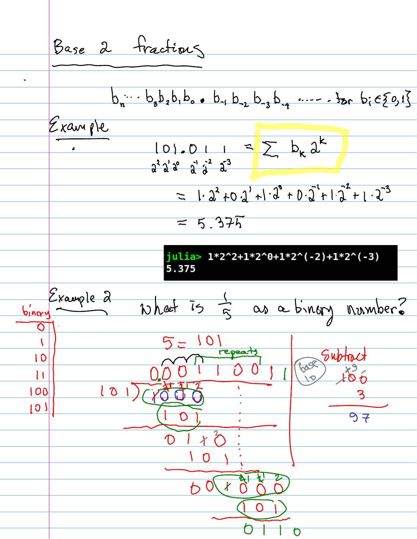Base 2 Fractions  $b_n$  :  $b_3b_2b_1b_0$  ,  $b_{-1}b_{-2}b_{-3}b_{-4}$  .....  $b_0c_2c_1$ Example  $101.01 = \sum_{k=1}^{n} b_k \lambda^{k}$  $= 1.2^{2} + 0.2^{1} + 1.2^{0} + 0.2^{1} + 1.2^{2} + 1.2^{3}$  $= 5.375$ julia> 1\*2^2+1\*2^0+1\*2^(-2)+1\*2^(-3) 5.375 Example 2 What is I as a binory number?  $\overline{b_{1}^{\prime}n_{\alpha}}$  $\overline{\mathsf{O}}$ 101  $\sqrt{2}$ FOR Subtract repeats 10  $0<sup>0</sup>$  $\mathbf{1}$  $101)$  $100$ <u>្រ</u>ោ  $97$  $X^{2}$  $\bigcap$  $7018$  $\overline{O}$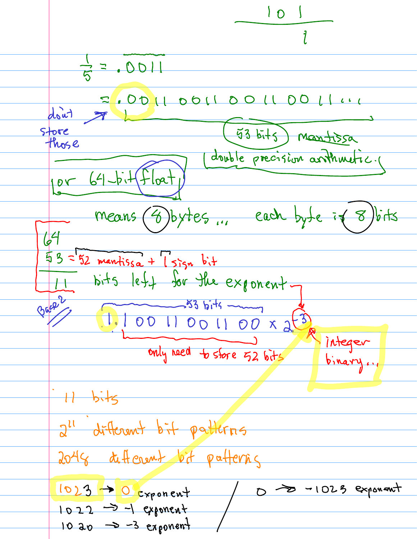$101$  $7 = .0011$  $Z$ , OD  $U$  DOII DO  $U$  DO  $U$   $U$ don't 3 53 bits) Mantissa Store those double precision arthmetic.  $64 - 6.1$  $10V$ loa means (8) bytes ... each byte if 8) bits  $U4$  $53 - 52$  mantissa +  $1$  sign bit bits leff for the exponent. Bacq 2  $-53 bit4$ 1.10011001100 x 2(3) integr only need to store 52 bits  $H - b$ its 2" different bit patterns 2048 different bit patterns 0 - 1023 exponent  $1023 - 0$  cxponent  $1022 \rightarrow -1$  exponent 10 20  $\rightarrow$  -3 exponent